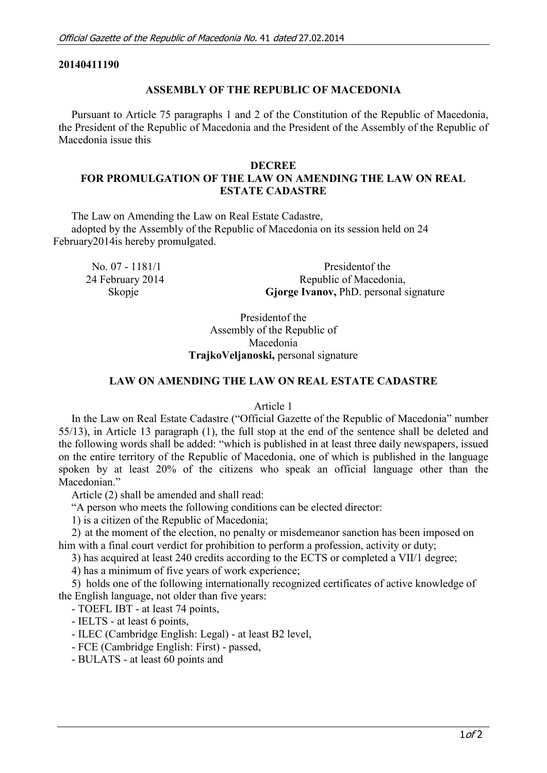### **20140411190**

### **ASSEMBLY OF THE REPUBLIC OF MACEDONIA**

Pursuant to Article 75 paragraphs 1 and 2 of the Constitution of the Republic of Macedonia, the President of the Republic of Macedonia and the President of the Assembly of the Republic of Macedonia issue this

#### **DECREE**

# **FOR PROMULGATION OF THE LAW ON AMENDING THE LAW ON REAL ESTATE CADASTRE**

The Law on Amending the Law on Real Estate Cadastre, adopted by the Assembly of the Republic of Macedonia on its session held on 24 February2014is hereby promulgated.

| No. 07 - $1181/1$ | President of the                              |
|-------------------|-----------------------------------------------|
| 24 February 2014  | Republic of Macedonia,                        |
| Skopje            | <b>Gjorge Ivanov, PhD.</b> personal signature |

Presidentof the Assembly of the Republic of Macedonia **TrajkoVeljanoski,** personal signature

### **LAW ON AMENDING THE LAW ON REAL ESTATE CADASTRE**

#### Article 1

In the Law on Real Estate Cadastre ("Official Gazette of the Republic of Macedonia" number 55/13), in Article 13 paragraph (1), the full stop at the end of the sentence shall be deleted and the following words shall be added: "which is published in at least three daily newspapers, issued on the entire territory of the Republic of Macedonia, one of which is published in the language spoken by at least 20% of the citizens who speak an official language other than the Macedonian."

Article (2) shall be amended and shall read:

"A person who meets the following conditions can be elected director:

1) is a citizen of the Republic of Macedonia;

2) at the moment of the election, no penalty or misdemeanor sanction has been imposed on him with a final court verdict for prohibition to perform a profession, activity or duty;

3) has acquired at least 240 credits according to the ECTS or completed a VII/1 degree;

4) has a minimum of five years of work experience;

5) holds one of the following internationally recognized certificates of active knowledge of the English language, not older than five years:

- TOEFL IBT - at least 74 points,

- IELTS - at least 6 points,

- ILEC (Cambridge English: Legal) - at least B2 level,

- FCE (Cambridge English: First) - passed,

- BULATS - at least 60 points and